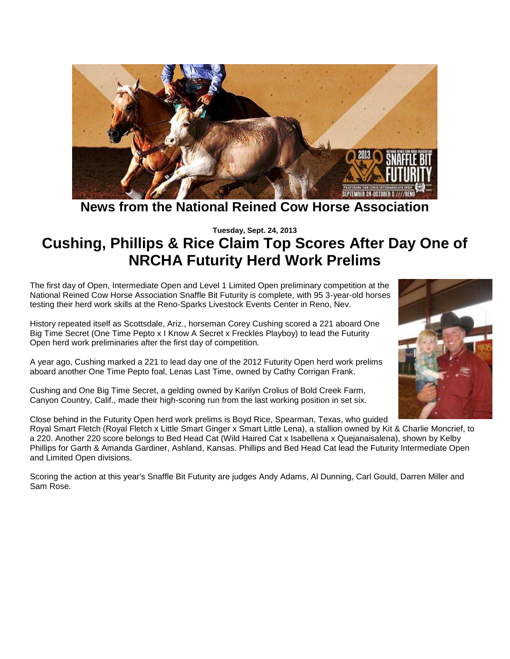

**News from the National Reined Cow Horse Association**

**Tuesday, Sept. 24, 2013**

# **Cushing, Phillips & Rice Claim Top Scores After Day One of NRCHA Futurity Herd Work Prelims**

The first day of Open, Intermediate Open and Level 1 Limited Open preliminary competition at the National Reined Cow Horse Association Snaffle Bit Futurity is complete, with 95 3-year-old horses testing their herd work skills at the Reno-Sparks Livestock Events Center in Reno, Nev.



History repeated itself as Scottsdale, Ariz., horseman Corey Cushing scored a 221 aboard One Big Time Secret (One Time Pepto x I Know A Secret x Freckles Playboy) to lead the Futurity Open herd work preliminaries after the first day of competition.

A year ago, Cushing marked a 221 to lead day one of the 2012 Futurity Open herd work prelims aboard another One Time Pepto foal, Lenas Last Time, owned by Cathy Corrigan Frank.

Cushing and One Big Time Secret, a gelding owned by Karilyn Crolius of Bold Creek Farm, Canyon Country, Calif., made their high-scoring run from the last working position in set six.

Close behind in the Futurity Open herd work prelims is Boyd Rice, Spearman, Texas, who guided Royal Smart Fletch (Royal Fletch x Little Smart Ginger x Smart Little Lena), a stallion owned by Kit & Charlie Moncrief, to a 220. Another 220 score belongs to Bed Head Cat (Wild Haired Cat x Isabellena x Quejanaisalena), shown by Kelby Phillips for Garth & Amanda Gardiner, Ashland, Kansas. Phillips and Bed Head Cat lead the Futurity Intermediate Open and Limited Open divisions.

Scoring the action at this year's Snaffle Bit Futurity are judges Andy Adams, Al Dunning, Carl Gould, Darren Miller and Sam Rose.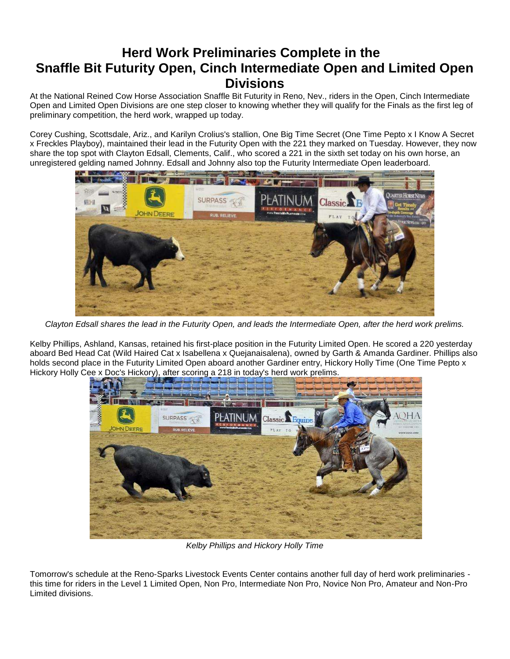# **Herd Work Preliminaries Complete in the Snaffle Bit Futurity Open, Cinch Intermediate Open and Limited Open Divisions**

At the National Reined Cow Horse Association Snaffle Bit Futurity in Reno, Nev., riders in the Open, Cinch Intermediate Open and Limited Open Divisions are one step closer to knowing whether they will qualify for the Finals as the first leg of preliminary competition, the herd work, wrapped up today.

Corey Cushing, Scottsdale, Ariz., and Karilyn Crolius's stallion, One Big Time Secret (One Time Pepto x I Know A Secret x Freckles Playboy), maintained their lead in the Futurity Open with the 221 they marked on Tuesday. However, they now share the top spot with Clayton Edsall, Clements, Calif., who scored a 221 in the sixth set today on his own horse, an unregistered gelding named Johnny. Edsall and Johnny also top the Futurity Intermediate Open leaderboard.



*Clayton Edsall shares the lead in the Futurity Open, and leads the Intermediate Open, after the herd work prelims.*

Kelby Phillips, Ashland, Kansas, retained his first-place position in the Futurity Limited Open. He scored a 220 yesterday aboard Bed Head Cat (Wild Haired Cat x Isabellena x Quejanaisalena), owned by Garth & Amanda Gardiner. Phillips also holds second place in the Futurity Limited Open aboard another Gardiner entry, Hickory Holly Time (One Time Pepto x Hickory Holly Cee x Doc's Hickory), after scoring a 218 in today's herd work prelims.



*Kelby Phillips and Hickory Holly Time*

Tomorrow's schedule at the Reno-Sparks Livestock Events Center contains another full day of herd work preliminaries this time for riders in the Level 1 Limited Open, Non Pro, Intermediate Non Pro, Novice Non Pro, Amateur and Non-Pro Limited divisions.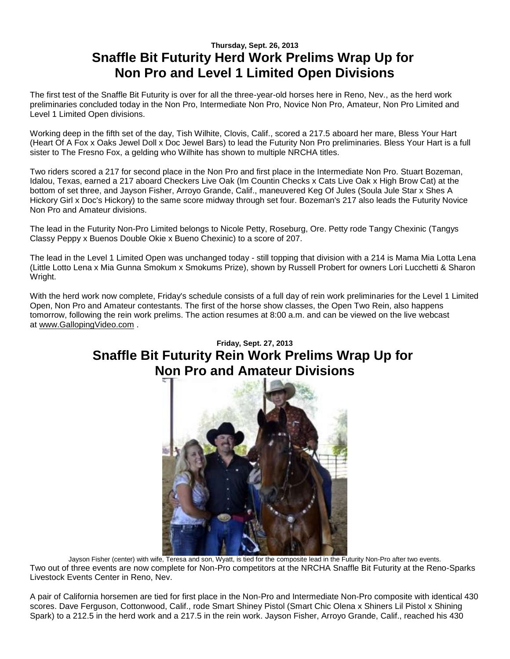## **Thursday, Sept. 26, 2013 Snaffle Bit Futurity Herd Work Prelims Wrap Up for Non Pro and Level 1 Limited Open Divisions**

The first test of the Snaffle Bit Futurity is over for all the three-year-old horses here in Reno, Nev., as the herd work preliminaries concluded today in the Non Pro, Intermediate Non Pro, Novice Non Pro, Amateur, Non Pro Limited and Level 1 Limited Open divisions.

Working deep in the fifth set of the day, Tish Wilhite, Clovis, Calif., scored a 217.5 aboard her mare, Bless Your Hart (Heart Of A Fox x Oaks Jewel Doll x Doc Jewel Bars) to lead the Futurity Non Pro preliminaries. Bless Your Hart is a full sister to The Fresno Fox, a gelding who Wilhite has shown to multiple NRCHA titles.

Two riders scored a 217 for second place in the Non Pro and first place in the Intermediate Non Pro. Stuart Bozeman, Idalou, Texas, earned a 217 aboard Checkers Live Oak (Im Countin Checks x Cats Live Oak x High Brow Cat) at the bottom of set three, and Jayson Fisher, Arroyo Grande, Calif., maneuvered Keg Of Jules (Soula Jule Star x Shes A Hickory Girl x Doc's Hickory) to the same score midway through set four. Bozeman's 217 also leads the Futurity Novice Non Pro and Amateur divisions.

The lead in the Futurity Non-Pro Limited belongs to Nicole Petty, Roseburg, Ore. Petty rode Tangy Chexinic (Tangys Classy Peppy x Buenos Double Okie x Bueno Chexinic) to a score of 207.

The lead in the Level 1 Limited Open was unchanged today - still topping that division with a 214 is Mama Mia Lotta Lena (Little Lotto Lena x Mia Gunna Smokum x Smokums Prize), shown by Russell Probert for owners Lori Lucchetti & Sharon Wright.

With the herd work now complete, Friday's schedule consists of a full day of rein work preliminaries for the Level 1 Limited Open, Non Pro and Amateur contestants. The first of the horse show classes, the Open Two Rein, also happens tomorrow, following the rein work prelims. The action resumes at 8:00 a.m. and can be viewed on the live webcast at [www.GallopingVideo.com](http://r20.rs6.net/tn.jsp?e=001fREx-Rg4ybOCG4ymNH5GdEP0cswZlWxV62yFYZmVyHjdE7EWwpcNbqMEbQ2_72Rk6rijksq0jUBTY4XF4ZjVflC1Z9muGSWYiXc93pGJnHpSVwUr3y1ODILIiUeH_0Do) .

# **Friday, Sept. 27, 2013 Snaffle Bit Futurity Rein Work Prelims Wrap Up for Non Pro and Amateur Divisions**



Jayson Fisher (center) with wife, Teresa and son, Wyatt, is tied for the composite lead in the Futurity Non-Pro after two events. Two out of three events are now complete for Non-Pro competitors at the NRCHA Snaffle Bit Futurity at the Reno-Sparks Livestock Events Center in Reno, Nev.

A pair of California horsemen are tied for first place in the Non-Pro and Intermediate Non-Pro composite with identical 430 scores. Dave Ferguson, Cottonwood, Calif., rode Smart Shiney Pistol (Smart Chic Olena x Shiners Lil Pistol x Shining Spark) to a 212.5 in the herd work and a 217.5 in the rein work. Jayson Fisher, Arroyo Grande, Calif., reached his 430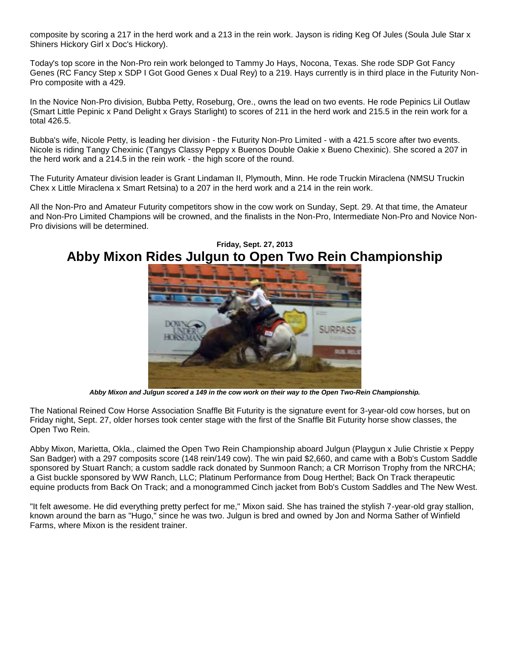composite by scoring a 217 in the herd work and a 213 in the rein work. Jayson is riding Keg Of Jules (Soula Jule Star x Shiners Hickory Girl x Doc's Hickory).

Today's top score in the Non-Pro rein work belonged to Tammy Jo Hays, Nocona, Texas. She rode SDP Got Fancy Genes (RC Fancy Step x SDP I Got Good Genes x Dual Rey) to a 219. Hays currently is in third place in the Futurity Non-Pro composite with a 429.

In the Novice Non-Pro division, Bubba Petty, Roseburg, Ore., owns the lead on two events. He rode Pepinics Lil Outlaw (Smart Little Pepinic x Pand Delight x Grays Starlight) to scores of 211 in the herd work and 215.5 in the rein work for a total 426.5.

Bubba's wife, Nicole Petty, is leading her division - the Futurity Non-Pro Limited - with a 421.5 score after two events. Nicole is riding Tangy Chexinic (Tangys Classy Peppy x Buenos Double Oakie x Bueno Chexinic). She scored a 207 in the herd work and a 214.5 in the rein work - the high score of the round.

The Futurity Amateur division leader is Grant Lindaman II, Plymouth, Minn. He rode Truckin Miraclena (NMSU Truckin Chex x Little Miraclena x Smart Retsina) to a 207 in the herd work and a 214 in the rein work.

All the Non-Pro and Amateur Futurity competitors show in the cow work on Sunday, Sept. 29. At that time, the Amateur and Non-Pro Limited Champions will be crowned, and the finalists in the Non-Pro, Intermediate Non-Pro and Novice Non-Pro divisions will be determined.



**Friday, Sept. 27, 2013 Abby Mixon Rides Julgun to Open Two Rein Championship**

*Abby Mixon and Julgun scored a 149 in the cow work on their way to the Open Two-Rein Championship.*

The National Reined Cow Horse Association Snaffle Bit Futurity is the signature event for 3-year-old cow horses, but on Friday night, Sept. 27, older horses took center stage with the first of the Snaffle Bit Futurity horse show classes, the Open Two Rein.

Abby Mixon, Marietta, Okla., claimed the Open Two Rein Championship aboard Julgun (Playgun x Julie Christie x Peppy San Badger) with a 297 composits score (148 rein/149 cow). The win paid \$2,660, and came with a Bob's Custom Saddle sponsored by Stuart Ranch; a custom saddle rack donated by Sunmoon Ranch; a CR Morrison Trophy from the NRCHA; a Gist buckle sponsored by WW Ranch, LLC; Platinum Performance from Doug Herthel; Back On Track therapeutic equine products from Back On Track; and a monogrammed Cinch jacket from Bob's Custom Saddles and The New West.

"It felt awesome. He did everything pretty perfect for me," Mixon said. She has trained the stylish 7-year-old gray stallion, known around the barn as "Hugo," since he was two. Julgun is bred and owned by Jon and Norma Sather of Winfield Farms, where Mixon is the resident trainer.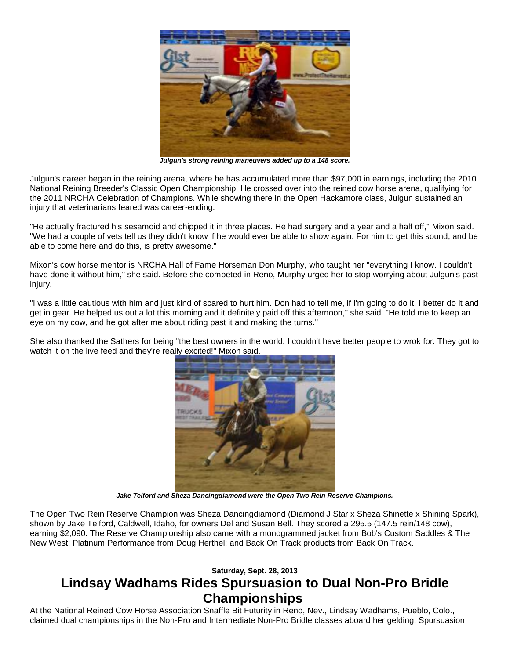

*Julgun's strong reining maneuvers added up to a 148 score.*

Julgun's career began in the reining arena, where he has accumulated more than \$97,000 in earnings, including the 2010 National Reining Breeder's Classic Open Championship. He crossed over into the reined cow horse arena, qualifying for the 2011 NRCHA Celebration of Champions. While showing there in the Open Hackamore class, Julgun sustained an injury that veterinarians feared was career-ending.

"He actually fractured his sesamoid and chipped it in three places. He had surgery and a year and a half off," Mixon said. "We had a couple of vets tell us they didn't know if he would ever be able to show again. For him to get this sound, and be able to come here and do this, is pretty awesome."

Mixon's cow horse mentor is NRCHA Hall of Fame Horseman Don Murphy, who taught her "everything I know. I couldn't have done it without him," she said. Before she competed in Reno, Murphy urged her to stop worrying about Julgun's past injury.

"I was a little cautious with him and just kind of scared to hurt him. Don had to tell me, if I'm going to do it, I better do it and get in gear. He helped us out a lot this morning and it definitely paid off this afternoon," she said. "He told me to keep an eye on my cow, and he got after me about riding past it and making the turns."

She also thanked the Sathers for being "the best owners in the world. I couldn't have better people to wrok for. They got to watch it on the live feed and they're really excited!" Mixon said.



*Jake Telford and Sheza Dancingdiamond were the Open Two Rein Reserve Champions.*

The Open Two Rein Reserve Champion was Sheza Dancingdiamond (Diamond J Star x Sheza Shinette x Shining Spark), shown by Jake Telford, Caldwell, Idaho, for owners Del and Susan Bell. They scored a 295.5 (147.5 rein/148 cow), earning \$2,090. The Reserve Championship also came with a monogrammed jacket from Bob's Custom Saddles & The New West; Platinum Performance from Doug Herthel; and Back On Track products from Back On Track.

#### **Saturday, Sept. 28, 2013**

## **Lindsay Wadhams Rides Spursuasion to Dual Non-Pro Bridle Championships**

At the National Reined Cow Horse Association Snaffle Bit Futurity in Reno, Nev., Lindsay Wadhams, Pueblo, Colo., claimed dual championships in the Non-Pro and Intermediate Non-Pro Bridle classes aboard her gelding, Spursuasion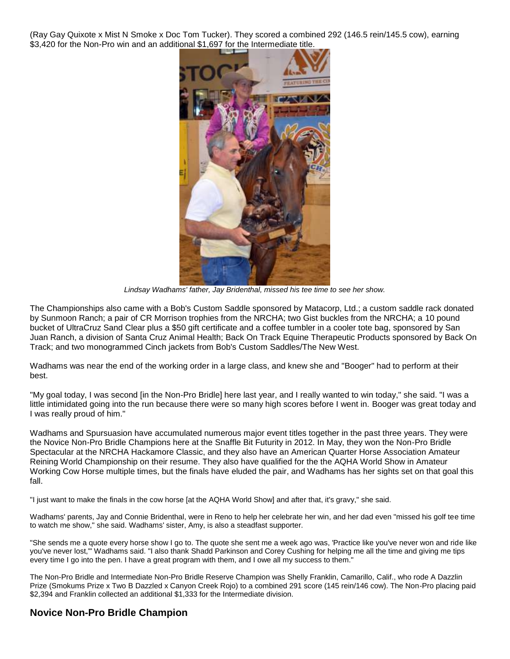(Ray Gay Quixote x Mist N Smoke x Doc Tom Tucker). They scored a combined 292 (146.5 rein/145.5 cow), earning \$3,420 for the Non-Pro win and an additional \$1,697 for the Intermediate title.



*Lindsay Wadhams' father, Jay Bridenthal, missed his tee time to see her show.*

The Championships also came with a Bob's Custom Saddle sponsored by Matacorp, Ltd.; a custom saddle rack donated by Sunmoon Ranch; a pair of CR Morrison trophies from the NRCHA; two Gist buckles from the NRCHA; a 10 pound bucket of UltraCruz Sand Clear plus a \$50 gift certificate and a coffee tumbler in a cooler tote bag, sponsored by San Juan Ranch, a division of Santa Cruz Animal Health; Back On Track Equine Therapeutic Products sponsored by Back On Track; and two monogrammed Cinch jackets from Bob's Custom Saddles/The New West.

Wadhams was near the end of the working order in a large class, and knew she and "Booger" had to perform at their best.

"My goal today, I was second [in the Non-Pro Bridle] here last year, and I really wanted to win today," she said. "I was a little intimidated going into the run because there were so many high scores before I went in. Booger was great today and I was really proud of him."

Wadhams and Spursuasion have accumulated numerous major event titles together in the past three years. They were the Novice Non-Pro Bridle Champions here at the Snaffle Bit Futurity in 2012. In May, they won the Non-Pro Bridle Spectacular at the NRCHA Hackamore Classic, and they also have an American Quarter Horse Association Amateur Reining World Championship on their resume. They also have qualified for the the AQHA World Show in Amateur Working Cow Horse multiple times, but the finals have eluded the pair, and Wadhams has her sights set on that goal this fall.

"I just want to make the finals in the cow horse [at the AQHA World Show] and after that, it's gravy," she said.

Wadhams' parents, Jay and Connie Bridenthal, were in Reno to help her celebrate her win, and her dad even "missed his golf tee time to watch me show," she said. Wadhams' sister, Amy, is also a steadfast supporter.

"She sends me a quote every horse show I go to. The quote she sent me a week ago was, 'Practice like you've never won and ride like you've never lost,'" Wadhams said. "I also thank Shadd Parkinson and Corey Cushing for helping me all the time and giving me tips every time I go into the pen. I have a great program with them, and I owe all my success to them."

The Non-Pro Bridle and Intermediate Non-Pro Bridle Reserve Champion was Shelly Franklin, Camarillo, Calif., who rode A Dazzlin Prize (Smokums Prize x Two B Dazzled x Canyon Creek Rojo) to a combined 291 score (145 rein/146 cow). The Non-Pro placing paid \$2,394 and Franklin collected an additional \$1,333 for the Intermediate division.

#### **Novice Non-Pro Bridle Champion**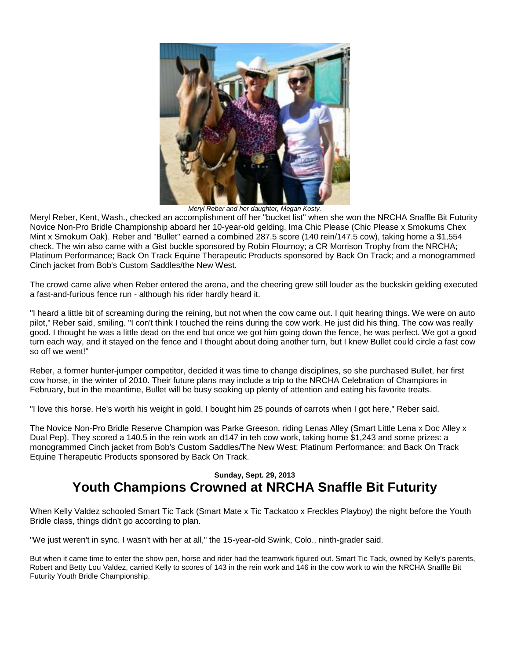

*Meryl Reber and her daughter, Megan Kosty.*

Meryl Reber, Kent, Wash., checked an accomplishment off her "bucket list" when she won the NRCHA Snaffle Bit Futurity Novice Non-Pro Bridle Championship aboard her 10-year-old gelding, Ima Chic Please (Chic Please x Smokums Chex Mint x Smokum Oak). Reber and "Bullet" earned a combined 287.5 score (140 rein/147.5 cow), taking home a \$1,554 check. The win also came with a Gist buckle sponsored by Robin Flournoy; a CR Morrison Trophy from the NRCHA; Platinum Performance; Back On Track Equine Therapeutic Products sponsored by Back On Track; and a monogrammed Cinch jacket from Bob's Custom Saddles/the New West.

The crowd came alive when Reber entered the arena, and the cheering grew still louder as the buckskin gelding executed a fast-and-furious fence run - although his rider hardly heard it.

"I heard a little bit of screaming during the reining, but not when the cow came out. I quit hearing things. We were on auto pilot," Reber said, smiling. "I con't think I touched the reins during the cow work. He just did his thing. The cow was really good. I thought he was a little dead on the end but once we got him going down the fence, he was perfect. We got a good turn each way, and it stayed on the fence and I thought about doing another turn, but I knew Bullet could circle a fast cow so off we went!"

Reber, a former hunter-jumper competitor, decided it was time to change disciplines, so she purchased Bullet, her first cow horse, in the winter of 2010. Their future plans may include a trip to the NRCHA Celebration of Champions in February, but in the meantime, Bullet will be busy soaking up plenty of attention and eating his favorite treats.

"I love this horse. He's worth his weight in gold. I bought him 25 pounds of carrots when I got here," Reber said.

The Novice Non-Pro Bridle Reserve Champion was Parke Greeson, riding Lenas Alley (Smart Little Lena x Doc Alley x Dual Pep). They scored a 140.5 in the rein work an d147 in teh cow work, taking home \$1,243 and some prizes: a monogrammed Cinch jacket from Bob's Custom Saddles/The New West; Platinum Performance; and Back On Track Equine Therapeutic Products sponsored by Back On Track.

### **Sunday, Sept. 29, 2013 Youth Champions Crowned at NRCHA Snaffle Bit Futurity**

When Kelly Valdez schooled Smart Tic Tack (Smart Mate x Tic Tackatoo x Freckles Playboy) the night before the Youth Bridle class, things didn't go according to plan.

"We just weren't in sync. I wasn't with her at all," the 15-year-old Swink, Colo., ninth-grader said.

But when it came time to enter the show pen, horse and rider had the teamwork figured out. Smart Tic Tack, owned by Kelly's parents, Robert and Betty Lou Valdez, carried Kelly to scores of 143 in the rein work and 146 in the cow work to win the NRCHA Snaffle Bit Futurity Youth Bridle Championship.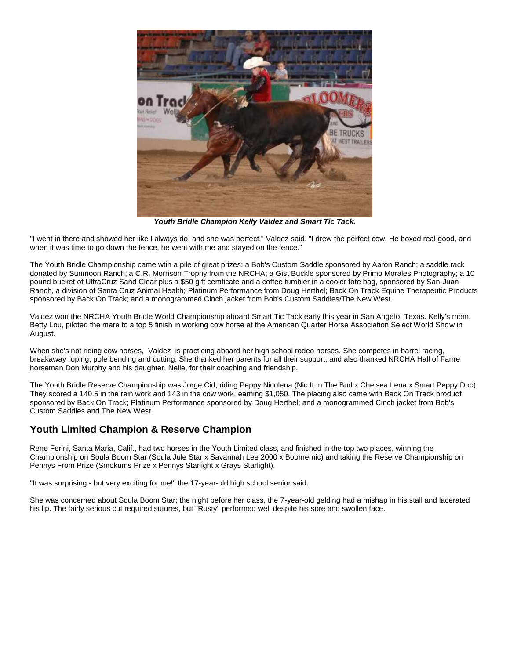

*Youth Bridle Champion Kelly Valdez and Smart Tic Tack.*

"I went in there and showed her like I always do, and she was perfect," Valdez said. "I drew the perfect cow. He boxed real good, and when it was time to go down the fence, he went with me and stayed on the fence."

The Youth Bridle Championship came wtih a pile of great prizes: a Bob's Custom Saddle sponsored by Aaron Ranch; a saddle rack donated by Sunmoon Ranch; a C.R. Morrison Trophy from the NRCHA; a Gist Buckle sponsored by Primo Morales Photography; a 10 pound bucket of UltraCruz Sand Clear plus a \$50 gift certificate and a coffee tumbler in a cooler tote bag, sponsored by San Juan Ranch, a division of Santa Cruz Animal Health; Platinum Performance from Doug Herthel; Back On Track Equine Therapeutic Products sponsored by Back On Track; and a monogrammed Cinch jacket from Bob's Custom Saddles/The New West.

Valdez won the NRCHA Youth Bridle World Championship aboard Smart Tic Tack early this year in San Angelo, Texas. Kelly's mom, Betty Lou, piloted the mare to a top 5 finish in working cow horse at the American Quarter Horse Association Select World Show in August.

When she's not riding cow horses, Valdez is practicing aboard her high school rodeo horses. She competes in barrel racing, breakaway roping, pole bending and cutting. She thanked her parents for all their support, and also thanked NRCHA Hall of Fame horseman Don Murphy and his daughter, Nelle, for their coaching and friendship.

The Youth Bridle Reserve Championship was Jorge Cid, riding Peppy Nicolena (Nic It In The Bud x Chelsea Lena x Smart Peppy Doc). They scored a 140.5 in the rein work and 143 in the cow work, earning \$1,050. The placing also came with Back On Track product sponsored by Back On Track; Platinum Performance sponsored by Doug Herthel; and a monogrammed Cinch jacket from Bob's Custom Saddles and The New West.

#### **Youth Limited Champion & Reserve Champion**

Rene Ferini, Santa Maria, Calif., had two horses in the Youth Limited class, and finished in the top two places, winning the Championship on Soula Boom Star (Soula Jule Star x Savannah Lee 2000 x Boomernic) and taking the Reserve Championship on Pennys From Prize (Smokums Prize x Pennys Starlight x Grays Starlight).

"It was surprising - but very exciting for me!" the 17-year-old high school senior said.

She was concerned about Soula Boom Star; the night before her class, the 7-year-old gelding had a mishap in his stall and lacerated his lip. The fairly serious cut required sutures, but "Rusty" performed well despite his sore and swollen face.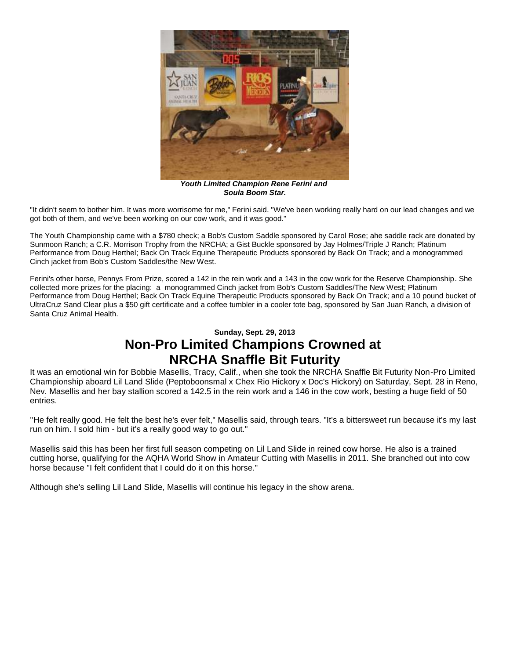

*Youth Limited Champion Rene Ferini and Soula Boom Star.*

"It didn't seem to bother him. It was more worrisome for me," Ferini said. "We've been working really hard on our lead changes and we got both of them, and we've been working on our cow work, and it was good."

The Youth Championship came with a \$780 check; a Bob's Custom Saddle sponsored by Carol Rose; ahe saddle rack are donated by Sunmoon Ranch; a C.R. Morrison Trophy from the NRCHA; a Gist Buckle sponsored by Jay Holmes/Triple J Ranch; Platinum Performance from Doug Herthel; Back On Track Equine Therapeutic Products sponsored by Back On Track; and a monogrammed Cinch jacket from Bob's Custom Saddles/the New West.

Ferini's other horse, Pennys From Prize, scored a 142 in the rein work and a 143 in the cow work for the Reserve Championship. She collected more prizes for the placing: a monogrammed Cinch jacket from Bob's Custom Saddles/The New West; Platinum Performance from Doug Herthel; Back On Track Equine Therapeutic Products sponsored by Back On Track; and a 10 pound bucket of UltraCruz Sand Clear plus a \$50 gift certificate and a coffee tumbler in a cooler tote bag, sponsored by San Juan Ranch, a division of Santa Cruz Animal Health.

## **Sunday, Sept. 29, 2013 Non-Pro Limited Champions Crowned at NRCHA Snaffle Bit Futurity**

It was an emotional win for Bobbie Masellis, Tracy, Calif., when she took the NRCHA Snaffle Bit Futurity Non-Pro Limited Championship aboard Lil Land Slide (Peptoboonsmal x Chex Rio Hickory x Doc's Hickory) on Saturday, Sept. 28 in Reno, Nev. Masellis and her bay stallion scored a 142.5 in the rein work and a 146 in the cow work, besting a huge field of 50 entries.

"He felt really good. He felt the best he's ever felt," Masellis said, through tears. "It's a bittersweet run because it's my last run on him. I sold him - but it's a really good way to go out."

Masellis said this has been her first full season competing on Lil Land Slide in reined cow horse. He also is a trained cutting horse, qualifying for the AQHA World Show in Amateur Cutting with Masellis in 2011. She branched out into cow horse because "I felt confident that I could do it on this horse."

Although she's selling Lil Land Slide, Masellis will continue his legacy in the show arena.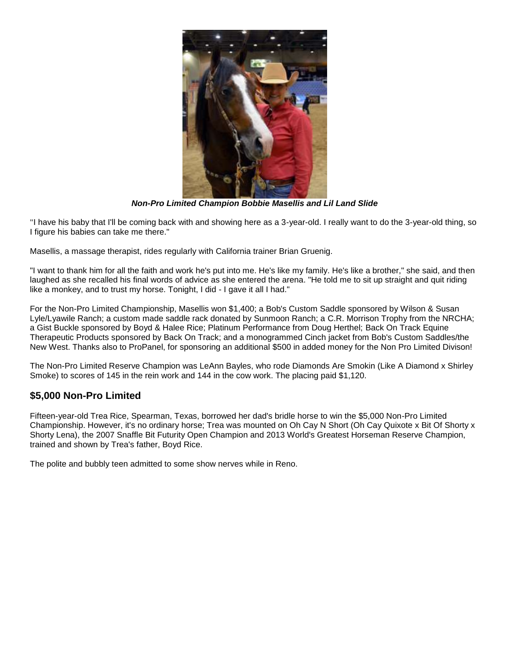

*Non-Pro Limited Champion Bobbie Masellis and Lil Land Slide*

"I have his baby that I'll be coming back with and showing here as a 3-year-old. I really want to do the 3-year-old thing, so I figure his babies can take me there."

Masellis, a massage therapist, rides regularly with California trainer Brian Gruenig.

"I want to thank him for all the faith and work he's put into me. He's like my family. He's like a brother," she said, and then laughed as she recalled his final words of advice as she entered the arena. "He told me to sit up straight and quit riding like a monkey, and to trust my horse. Tonight, I did - I gave it all I had."

For the Non-Pro Limited Championship, Masellis won \$1,400; a Bob's Custom Saddle sponsored by Wilson & Susan Lyle/Lyawile Ranch; a custom made saddle rack donated by Sunmoon Ranch; a C.R. Morrison Trophy from the NRCHA; a Gist Buckle sponsored by Boyd & Halee Rice; Platinum Performance from Doug Herthel; Back On Track Equine Therapeutic Products sponsored by Back On Track; and a monogrammed Cinch jacket from Bob's Custom Saddles/the New West. Thanks also to ProPanel, for sponsoring an additional \$500 in added money for the Non Pro Limited Divison!

The Non-Pro Limited Reserve Champion was LeAnn Bayles, who rode Diamonds Are Smokin (Like A Diamond x Shirley Smoke) to scores of 145 in the rein work and 144 in the cow work. The placing paid \$1,120.

#### **\$5,000 Non-Pro Limited**

Fifteen-year-old Trea Rice, Spearman, Texas, borrowed her dad's bridle horse to win the \$5,000 Non-Pro Limited Championship. However, it's no ordinary horse; Trea was mounted on Oh Cay N Short (Oh Cay Quixote x Bit Of Shorty x Shorty Lena), the 2007 Snaffle Bit Futurity Open Champion and 2013 World's Greatest Horseman Reserve Champion, trained and shown by Trea's father, Boyd Rice.

The polite and bubbly teen admitted to some show nerves while in Reno.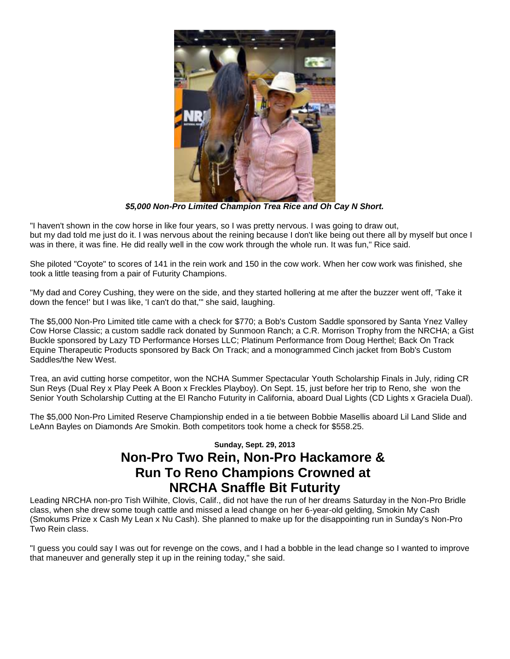

*\$5,000 Non-Pro Limited Champion Trea Rice and Oh Cay N Short.*

"I haven't shown in the cow horse in like four years, so I was pretty nervous. I was going to draw out, but my dad told me just do it. I was nervous about the reining because I don't like being out there all by myself but once I was in there, it was fine. He did really well in the cow work through the whole run. It was fun," Rice said.

She piloted "Coyote" to scores of 141 in the rein work and 150 in the cow work. When her cow work was finished, she took a little teasing from a pair of Futurity Champions.

"My dad and Corey Cushing, they were on the side, and they started hollering at me after the buzzer went off, 'Take it down the fence!' but I was like, 'I can't do that,'" she said, laughing.

The \$5,000 Non-Pro Limited title came with a check for \$770; a Bob's Custom Saddle sponsored by Santa Ynez Valley Cow Horse Classic; a custom saddle rack donated by Sunmoon Ranch; a C.R. Morrison Trophy from the NRCHA; a Gist Buckle sponsored by Lazy TD Performance Horses LLC; Platinum Performance from Doug Herthel; Back On Track Equine Therapeutic Products sponsored by Back On Track; and a monogrammed Cinch jacket from Bob's Custom Saddles/the New West.

Trea, an avid cutting horse competitor, won the NCHA Summer Spectacular Youth Scholarship Finals in July, riding CR Sun Reys (Dual Rey x Play Peek A Boon x Freckles Playboy). On Sept. 15, just before her trip to Reno, she won the Senior Youth Scholarship Cutting at the El Rancho Futurity in California, aboard Dual Lights (CD Lights x Graciela Dual).

The \$5,000 Non-Pro Limited Reserve Championship ended in a tie between Bobbie Masellis aboard Lil Land Slide and LeAnn Bayles on Diamonds Are Smokin. Both competitors took home a check for \$558.25.

## **Sunday, Sept. 29, 2013 Non-Pro Two Rein, Non-Pro Hackamore & Run To Reno Champions Crowned at NRCHA Snaffle Bit Futurity**

Leading NRCHA non-pro Tish Wilhite, Clovis, Calif., did not have the run of her dreams Saturday in the Non-Pro Bridle class, when she drew some tough cattle and missed a lead change on her 6-year-old gelding, Smokin My Cash (Smokums Prize x Cash My Lean x Nu Cash). She planned to make up for the disappointing run in Sunday's Non-Pro Two Rein class.

"I guess you could say I was out for revenge on the cows, and I had a bobble in the lead change so I wanted to improve that maneuver and generally step it up in the reining today," she said.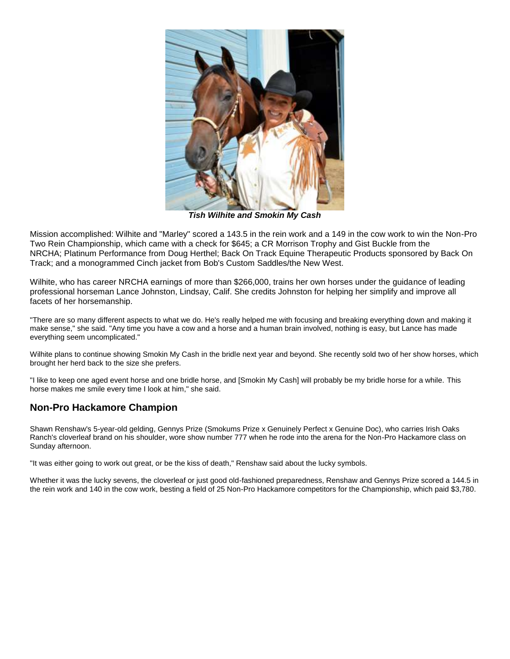

*Tish Wilhite and Smokin My Cash*

Mission accomplished: Wilhite and "Marley" scored a 143.5 in the rein work and a 149 in the cow work to win the Non-Pro Two Rein Championship, which came with a check for \$645; a CR Morrison Trophy and Gist Buckle from the NRCHA; Platinum Performance from Doug Herthel; Back On Track Equine Therapeutic Products sponsored by Back On Track; and a monogrammed Cinch jacket from Bob's Custom Saddles/the New West.

Wilhite, who has career NRCHA earnings of more than \$266,000, trains her own horses under the guidance of leading professional horseman Lance Johnston, Lindsay, Calif. She credits Johnston for helping her simplify and improve all facets of her horsemanship.

"There are so many different aspects to what we do. He's really helped me with focusing and breaking everything down and making it make sense," she said. "Any time you have a cow and a horse and a human brain involved, nothing is easy, but Lance has made everything seem uncomplicated."

Wilhite plans to continue showing Smokin My Cash in the bridle next year and beyond. She recently sold two of her show horses, which brought her herd back to the size she prefers.

"I like to keep one aged event horse and one bridle horse, and [Smokin My Cash] will probably be my bridle horse for a while. This horse makes me smile every time I look at him," she said.

### **Non-Pro Hackamore Champion**

Shawn Renshaw's 5-year-old gelding, Gennys Prize (Smokums Prize x Genuinely Perfect x Genuine Doc), who carries Irish Oaks Ranch's cloverleaf brand on his shoulder, wore show number 777 when he rode into the arena for the Non-Pro Hackamore class on Sunday afternoon.

"It was either going to work out great, or be the kiss of death," Renshaw said about the lucky symbols.

Whether it was the lucky sevens, the cloverleaf or just good old-fashioned preparedness, Renshaw and Gennys Prize scored a 144.5 in the rein work and 140 in the cow work, besting a field of 25 Non-Pro Hackamore competitors for the Championship, which paid \$3,780.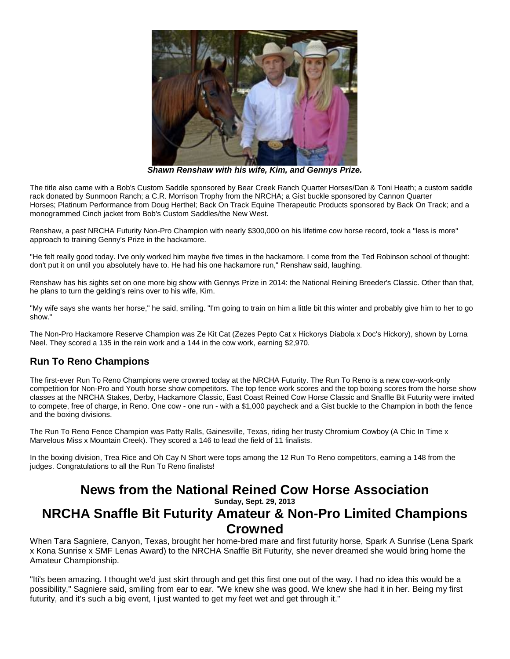

*Shawn Renshaw with his wife, Kim, and Gennys Prize.*

The title also came with a Bob's Custom Saddle sponsored by Bear Creek Ranch Quarter Horses/Dan & Toni Heath; a custom saddle rack donated by Sunmoon Ranch; a C.R. Morrison Trophy from the NRCHA; a Gist buckle sponsored by Cannon Quarter Horses; Platinum Performance from Doug Herthel; Back On Track Equine Therapeutic Products sponsored by Back On Track; and a monogrammed Cinch jacket from Bob's Custom Saddles/the New West.

Renshaw, a past NRCHA Futurity Non-Pro Champion with nearly \$300,000 on his lifetime cow horse record, took a "less is more" approach to training Genny's Prize in the hackamore.

"He felt really good today. I've only worked him maybe five times in the hackamore. I come from the Ted Robinson school of thought: don't put it on until you absolutely have to. He had his one hackamore run," Renshaw said, laughing.

Renshaw has his sights set on one more big show with Gennys Prize in 2014: the National Reining Breeder's Classic. Other than that, he plans to turn the gelding's reins over to his wife, Kim.

"My wife says she wants her horse," he said, smiling. "I'm going to train on him a little bit this winter and probably give him to her to go show."

The Non-Pro Hackamore Reserve Champion was Ze Kit Cat (Zezes Pepto Cat x Hickorys Diabola x Doc's Hickory), shown by Lorna Neel. They scored a 135 in the rein work and a 144 in the cow work, earning \$2,970.

### **Run To Reno Champions**

The first-ever Run To Reno Champions were crowned today at the NRCHA Futurity. The Run To Reno is a new cow-work-only competition for Non-Pro and Youth horse show competitors. The top fence work scores and the top boxing scores from the horse show classes at the NRCHA Stakes, Derby, Hackamore Classic, East Coast Reined Cow Horse Classic and Snaffle Bit Futurity were invited to compete, free of charge, in Reno. One cow - one run - with a \$1,000 paycheck and a Gist buckle to the Champion in both the fence and the boxing divisions.

The Run To Reno Fence Champion was Patty Ralls, Gainesville, Texas, riding her trusty Chromium Cowboy (A Chic In Time x Marvelous Miss x Mountain Creek). They scored a 146 to lead the field of 11 finalists.

In the boxing division, Trea Rice and Oh Cay N Short were tops among the 12 Run To Reno competitors, earning a 148 from the judges. Congratulations to all the Run To Reno finalists!

# **News from the National Reined Cow Horse Association**

**Sunday, Sept. 29, 2013**

# **NRCHA Snaffle Bit Futurity Amateur & Non-Pro Limited Champions Crowned**

When Tara Sagniere, Canyon, Texas, brought her home-bred mare and first futurity horse, Spark A Sunrise (Lena Spark x Kona Sunrise x SMF Lenas Award) to the NRCHA Snaffle Bit Futurity, she never dreamed she would bring home the Amateur Championship.

"Iti's been amazing. I thought we'd just skirt through and get this first one out of the way. I had no idea this would be a possibility," Sagniere said, smiling from ear to ear. "We knew she was good. We knew she had it in her. Being my first futurity, and it's such a big event, I just wanted to get my feet wet and get through it."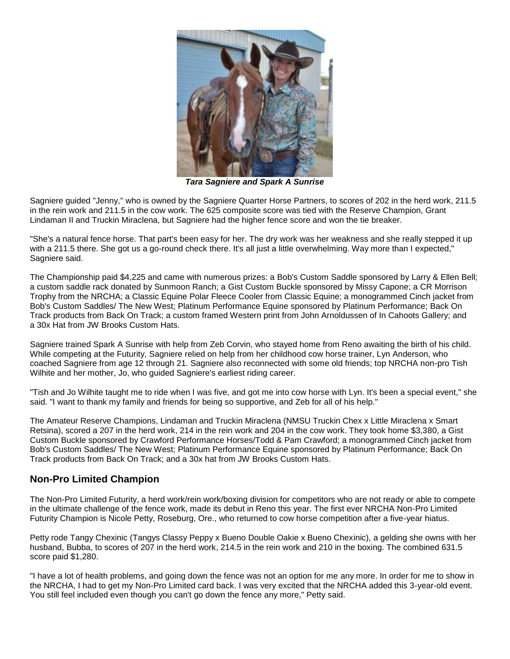

*Tara Sagniere and Spark A Sunrise*

Sagniere guided "Jenny," who is owned by the Sagniere Quarter Horse Partners, to scores of 202 in the herd work, 211.5 in the rein work and 211.5 in the cow work. The 625 composite score was tied with the Reserve Champion, Grant Lindaman II and Truckin Miraclena, but Sagniere had the higher fence score and won the tie breaker.

"She's a natural fence horse. That part's been easy for her. The dry work was her weakness and she really stepped it up with a 211.5 there. She got us a go-round check there. It's all just a little overwhelming. Way more than I expected," Sagniere said.

The Championship paid \$4,225 and came with numerous prizes: a Bob's Custom Saddle sponsored by Larry & Ellen Bell; a custom saddle rack donated by Sunmoon Ranch; a Gist Custom Buckle sponsored by Missy Capone; a CR Morrison Trophy from the NRCHA; a Classic Equine Polar Fleece Cooler from Classic Equine; a monogrammed Cinch jacket from Bob's Custom Saddles/ The New West; Platinum Performance Equine sponsored by Platinum Performance; Back On Track products from Back On Track; a custom framed Western print from John Arnoldussen of In Cahoots Gallery; and a 30x Hat from JW Brooks Custom Hats.

Sagniere trained Spark A Sunrise with help from Zeb Corvin, who stayed home from Reno awaiting the birth of his child. While competing at the Futurity, Sagniere relied on help from her childhood cow horse trainer, Lyn Anderson, who coached Sagniere from age 12 through 21. Sagniere also reconnected with some old friends; top NRCHA non-pro Tish Wilhite and her mother, Jo, who guided Sagniere's earliest riding career.

"Tish and Jo Wilhite taught me to ride when I was five, and got me into cow horse with Lyn. It's been a special event," she said. "I want to thank my family and friends for being so supportive, and Zeb for all of his help."

The Amateur Reserve Champions, Lindaman and Truckin Miraclena (NMSU Truckin Chex x Little Miraclena x Smart Retsina), scored a 207 in the herd work, 214 in the rein work and 204 in the cow work. They took home \$3,380, a Gist Custom Buckle sponsored by Crawford Performance Horses/Todd & Pam Crawford; a monogrammed Cinch jacket from Bob's Custom Saddles/ The New West; Platinum Performance Equine sponsored by Platinum Performance; Back On Track products from Back On Track; and a 30x hat from JW Brooks Custom Hats.

#### **Non-Pro Limited Champion**

The Non-Pro Limited Futurity, a herd work/rein work/boxing division for competitors who are not ready or able to compete in the ultimate challenge of the fence work, made its debut in Reno this year. The first ever NRCHA Non-Pro Limited Futurity Champion is Nicole Petty, Roseburg, Ore., who returned to cow horse competition after a five-year hiatus.

Petty rode Tangy Chexinic (Tangys Classy Peppy x Bueno Double Oakie x Bueno Chexinic), a gelding she owns with her husband, Bubba, to scores of 207 in the herd work, 214.5 in the rein work and 210 in the boxing. The combined 631.5 score paid \$1,280.

"I have a lot of health problems, and going down the fence was not an option for me any more. In order for me to show in the NRCHA, I had to get my Non-Pro Limited card back. I was very excited that the NRCHA added this 3-year-old event. You still feel included even though you can't go down the fence any more," Petty said.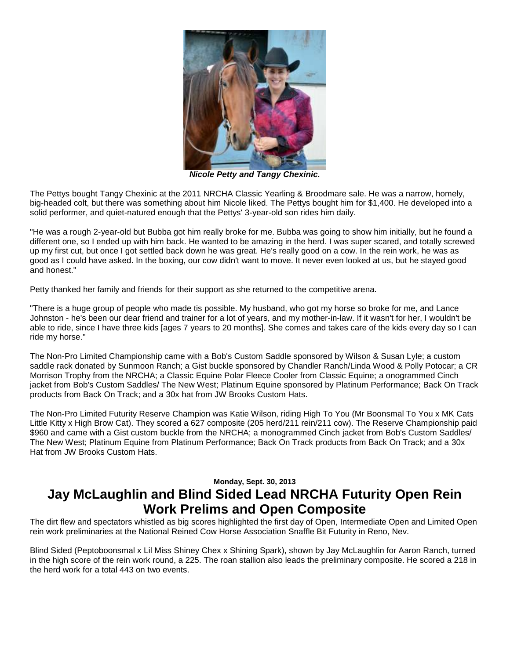

*Nicole Petty and Tangy Chexinic.*

The Pettys bought Tangy Chexinic at the 2011 NRCHA Classic Yearling & Broodmare sale. He was a narrow, homely, big-headed colt, but there was something about him Nicole liked. The Pettys bought him for \$1,400. He developed into a solid performer, and quiet-natured enough that the Pettys' 3-year-old son rides him daily.

"He was a rough 2-year-old but Bubba got him really broke for me. Bubba was going to show him initially, but he found a different one, so I ended up with him back. He wanted to be amazing in the herd. I was super scared, and totally screwed up my first cut, but once I got settled back down he was great. He's really good on a cow. In the rein work, he was as good as I could have asked. In the boxing, our cow didn't want to move. It never even looked at us, but he stayed good and honest."

Petty thanked her family and friends for their support as she returned to the competitive arena.

"There is a huge group of people who made tis possible. My husband, who got my horse so broke for me, and Lance Johnston - he's been our dear friend and trainer for a lot of years, and my mother-in-law. If it wasn't for her, I wouldn't be able to ride, since I have three kids [ages 7 years to 20 months]. She comes and takes care of the kids every day so I can ride my horse."

The Non-Pro Limited Championship came with a Bob's Custom Saddle sponsored by Wilson & Susan Lyle; a custom saddle rack donated by Sunmoon Ranch; a Gist buckle sponsored by Chandler Ranch/Linda Wood & Polly Potocar; a CR Morrison Trophy from the NRCHA; a Classic Equine Polar Fleece Cooler from Classic Equine; a onogrammed Cinch jacket from Bob's Custom Saddles/ The New West; Platinum Equine sponsored by Platinum Performance; Back On Track products from Back On Track; and a 30x hat from JW Brooks Custom Hats.

The Non-Pro Limited Futurity Reserve Champion was Katie Wilson, riding High To You (Mr Boonsmal To You x MK Cats Little Kitty x High Brow Cat). They scored a 627 composite (205 herd/211 rein/211 cow). The Reserve Championship paid \$960 and came with a Gist custom buckle from the NRCHA; a monogrammed Cinch jacket from Bob's Custom Saddles/ The New West; Platinum Equine from Platinum Performance; Back On Track products from Back On Track; and a 30x Hat from JW Brooks Custom Hats.

### **Monday, Sept. 30, 2013 Jay McLaughlin and Blind Sided Lead NRCHA Futurity Open Rein Work Prelims and Open Composite**

The dirt flew and spectators whistled as big scores highlighted the first day of Open, Intermediate Open and Limited Open rein work preliminaries at the National Reined Cow Horse Association Snaffle Bit Futurity in Reno, Nev.

Blind Sided (Peptoboonsmal x Lil Miss Shiney Chex x Shining Spark), shown by Jay McLaughlin for Aaron Ranch, turned in the high score of the rein work round, a 225. The roan stallion also leads the preliminary composite. He scored a 218 in the herd work for a total 443 on two events.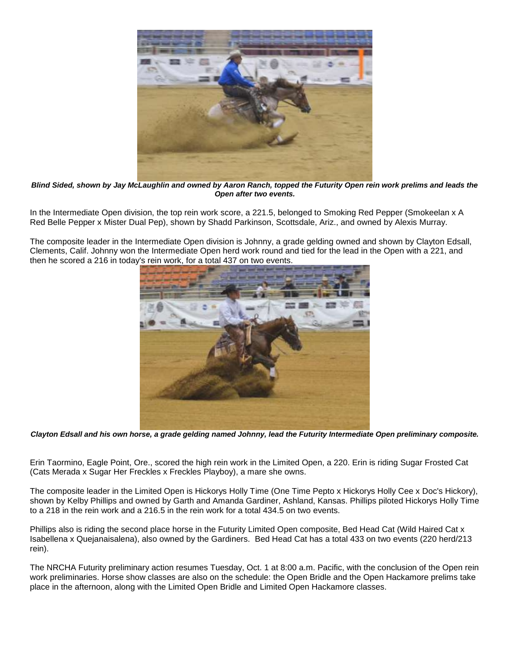

*Blind Sided, shown by Jay McLaughlin and owned by Aaron Ranch, topped the Futurity Open rein work prelims and leads the Open after two events.*

In the Intermediate Open division, the top rein work score, a 221.5, belonged to Smoking Red Pepper (Smokeelan x A Red Belle Pepper x Mister Dual Pep), shown by Shadd Parkinson, Scottsdale, Ariz., and owned by Alexis Murray.

The composite leader in the Intermediate Open division is Johnny, a grade gelding owned and shown by Clayton Edsall, Clements, Calif. Johnny won the Intermediate Open herd work round and tied for the lead in the Open with a 221, and then he scored a 216 in today's rein work, for a total 437 on two events.



*Clayton Edsall and his own horse, a grade gelding named Johnny, lead the Futurity Intermediate Open preliminary composite.*

Erin Taormino, Eagle Point, Ore., scored the high rein work in the Limited Open, a 220. Erin is riding Sugar Frosted Cat (Cats Merada x Sugar Her Freckles x Freckles Playboy), a mare she owns.

The composite leader in the Limited Open is Hickorys Holly Time (One Time Pepto x Hickorys Holly Cee x Doc's Hickory), shown by Kelby Phillips and owned by Garth and Amanda Gardiner, Ashland, Kansas. Phillips piloted Hickorys Holly Time to a 218 in the rein work and a 216.5 in the rein work for a total 434.5 on two events.

Phillips also is riding the second place horse in the Futurity Limited Open composite, Bed Head Cat (Wild Haired Cat x Isabellena x Quejanaisalena), also owned by the Gardiners. Bed Head Cat has a total 433 on two events (220 herd/213 rein).

The NRCHA Futurity preliminary action resumes Tuesday, Oct. 1 at 8:00 a.m. Pacific, with the conclusion of the Open rein work preliminaries. Horse show classes are also on the schedule: the Open Bridle and the Open Hackamore prelims take place in the afternoon, along with the Limited Open Bridle and Limited Open Hackamore classes.